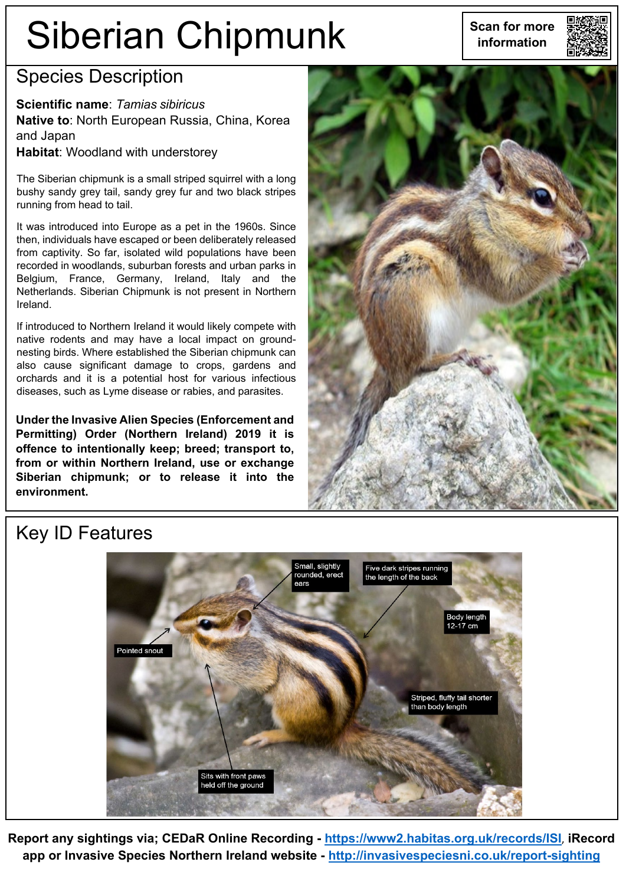# Siberian Chipmunk | Scan for more



### Species Description

**Scientific name**: *Tamias sibiricus* **Native to**: North European Russia, China, Korea and Japan **Habitat**: Woodland with understorey

The Siberian chipmunk is a small striped squirrel with a long bushy sandy grey tail, sandy grey fur and two black stripes running from head to tail.

It was introduced into Europe as a pet in the 1960s. Since then, individuals have escaped or been deliberately released from captivity. So far, isolated wild populations have been recorded in woodlands, suburban forests and urban parks in Belgium, France, Germany, Ireland, Italy and the Netherlands. Siberian Chipmunk is not present in Northern Ireland.

If introduced to Northern Ireland it would likely compete with native rodents and may have a local impact on groundnesting birds. Where established the Siberian chipmunk can also cause significant damage to crops, gardens and orchards and it is a potential host for various infectious diseases, such as Lyme disease or rabies, and parasites.

**Under the Invasive Alien Species (Enforcement and Permitting) Order (Northern Ireland) 2019 it is offence to intentionally keep; breed; transport to, from or within Northern Ireland, use or exchange Siberian chipmunk; or to release it into the environment.**



## Key ID Features



**Report any sightings via; CEDaR Online Recording - <https://www2.habitas.org.uk/records/ISI>**, **iRecord app or Invasive Species Northern Ireland website - <http://invasivespeciesni.co.uk/report-sighting>**